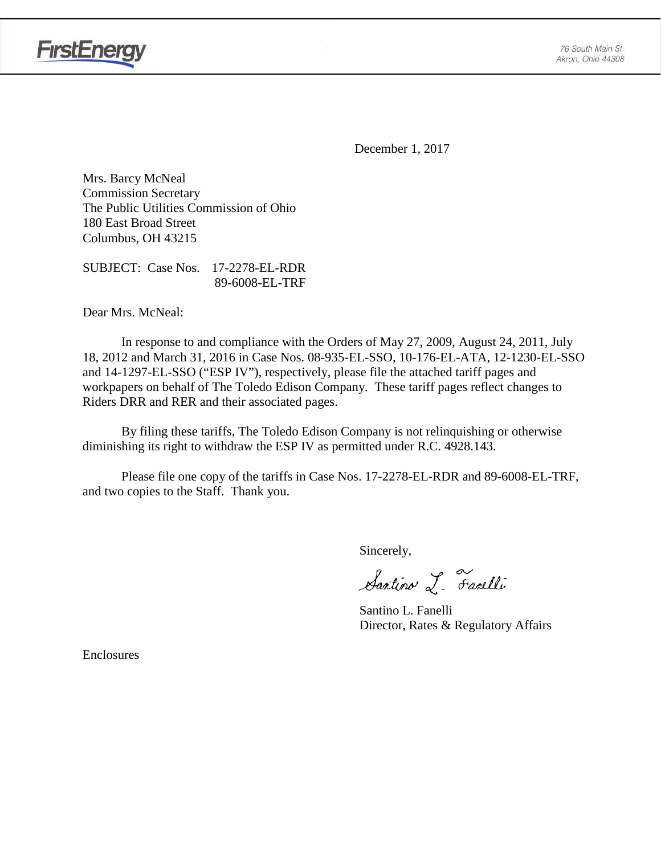

**FirstEnergy** 

December 1, 2017

Mrs. Barcy McNeal Commission Secretary The Public Utilities Commission of Ohio 180 East Broad Street Columbus, OH 43215

SUBJECT: Case Nos. 17-2278-EL-RDR 89-6008-EL-TRF

Dear Mrs. McNeal:

In response to and compliance with the Orders of May 27, 2009, August 24, 2011, July 18, 2012 and March 31, 2016 in Case Nos. 08-935-EL-SSO, 10-176-EL-ATA, 12-1230-EL-SSO and 14-1297-EL-SSO ("ESP IV"), respectively, please file the attached tariff pages and workpapers on behalf of The Toledo Edison Company. These tariff pages reflect changes to Riders DRR and RER and their associated pages.

By filing these tariffs, The Toledo Edison Company is not relinquishing or otherwise diminishing its right to withdraw the ESP IV as permitted under R.C. 4928.143.

Please file one copy of the tariffs in Case Nos. 17-2278-EL-RDR and 89-6008-EL-TRF, and two copies to the Staff. Thank you.

Sincerely,

Santino L. Farelli

Santino L. Fanelli Director, Rates & Regulatory Affairs

Enclosures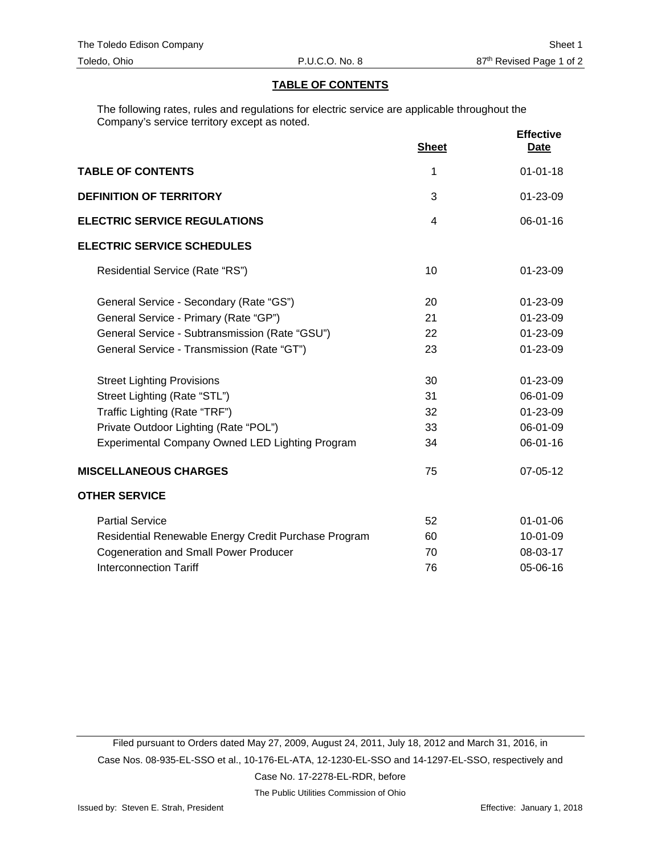#### **TABLE OF CONTENTS**

The following rates, rules and regulations for electric service are applicable throughout the Company's service territory except as noted.

|                                                      | <b>Sheet</b> | <b>Effective</b><br><b>Date</b> |
|------------------------------------------------------|--------------|---------------------------------|
| <b>TABLE OF CONTENTS</b>                             | 1            | $01 - 01 - 18$                  |
| <b>DEFINITION OF TERRITORY</b>                       | 3            | 01-23-09                        |
| <b>ELECTRIC SERVICE REGULATIONS</b>                  | 4            | $06 - 01 - 16$                  |
| <b>ELECTRIC SERVICE SCHEDULES</b>                    |              |                                 |
| Residential Service (Rate "RS")                      | 10           | 01-23-09                        |
| General Service - Secondary (Rate "GS")              | 20           | 01-23-09                        |
| General Service - Primary (Rate "GP")                | 21           | 01-23-09                        |
| General Service - Subtransmission (Rate "GSU")       | 22           | 01-23-09                        |
| General Service - Transmission (Rate "GT")           | 23           | 01-23-09                        |
| <b>Street Lighting Provisions</b>                    | 30           | 01-23-09                        |
| Street Lighting (Rate "STL")                         | 31           | 06-01-09                        |
| Traffic Lighting (Rate "TRF")                        | 32           | 01-23-09                        |
| Private Outdoor Lighting (Rate "POL")                | 33           | 06-01-09                        |
| Experimental Company Owned LED Lighting Program      | 34           | 06-01-16                        |
| <b>MISCELLANEOUS CHARGES</b>                         | 75           | 07-05-12                        |
| <b>OTHER SERVICE</b>                                 |              |                                 |
| <b>Partial Service</b>                               | 52           | $01 - 01 - 06$                  |
| Residential Renewable Energy Credit Purchase Program | 60           | $10 - 01 - 09$                  |
| <b>Cogeneration and Small Power Producer</b>         | 70           | 08-03-17                        |
| <b>Interconnection Tariff</b>                        | 76           | 05-06-16                        |

Filed pursuant to Orders dated May 27, 2009, August 24, 2011, July 18, 2012 and March 31, 2016, in Case Nos. 08-935-EL-SSO et al., 10-176-EL-ATA, 12-1230-EL-SSO and 14-1297-EL-SSO, respectively and Case No. 17-2278-EL-RDR, before

The Public Utilities Commission of Ohio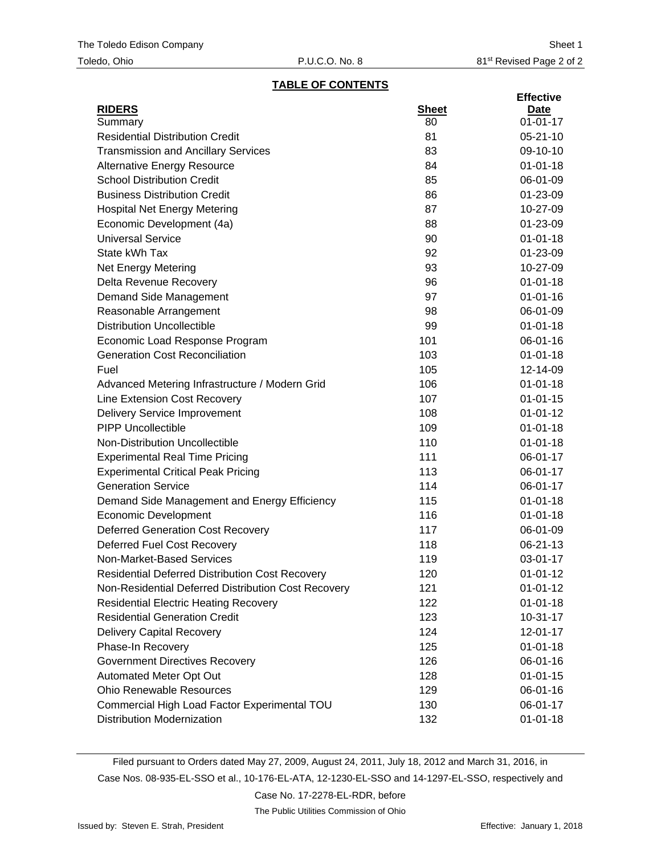#### **TABLE OF CONTENTS**

|                                                        |              | <b>Effective</b> |
|--------------------------------------------------------|--------------|------------------|
| <b>RIDERS</b>                                          | <b>Sheet</b> | Date             |
| Summary                                                | 80           | $01 - 01 - 17$   |
| <b>Residential Distribution Credit</b>                 | 81           | $05 - 21 - 10$   |
| <b>Transmission and Ancillary Services</b>             | 83           | 09-10-10         |
| <b>Alternative Energy Resource</b>                     | 84           | $01 - 01 - 18$   |
| <b>School Distribution Credit</b>                      | 85           | 06-01-09         |
| <b>Business Distribution Credit</b>                    | 86           | 01-23-09         |
| <b>Hospital Net Energy Metering</b>                    | 87           | 10-27-09         |
| Economic Development (4a)                              | 88           | 01-23-09         |
| <b>Universal Service</b>                               | 90           | $01 - 01 - 18$   |
| State kWh Tax                                          | 92           | 01-23-09         |
| <b>Net Energy Metering</b>                             | 93           | 10-27-09         |
| Delta Revenue Recovery                                 | 96           | $01 - 01 - 18$   |
| Demand Side Management                                 | 97           | $01 - 01 - 16$   |
| Reasonable Arrangement                                 | 98           | 06-01-09         |
| <b>Distribution Uncollectible</b>                      | 99           | $01 - 01 - 18$   |
| Economic Load Response Program                         | 101          | 06-01-16         |
| <b>Generation Cost Reconciliation</b>                  | 103          | $01 - 01 - 18$   |
| Fuel                                                   | 105          | 12-14-09         |
| Advanced Metering Infrastructure / Modern Grid         | 106          | $01 - 01 - 18$   |
| Line Extension Cost Recovery                           | 107          | $01 - 01 - 15$   |
| <b>Delivery Service Improvement</b>                    | 108          | $01 - 01 - 12$   |
| <b>PIPP Uncollectible</b>                              | 109          | $01 - 01 - 18$   |
| Non-Distribution Uncollectible                         | 110          | $01 - 01 - 18$   |
| <b>Experimental Real Time Pricing</b>                  | 111          | 06-01-17         |
| <b>Experimental Critical Peak Pricing</b>              | 113          | 06-01-17         |
| <b>Generation Service</b>                              | 114          | 06-01-17         |
| Demand Side Management and Energy Efficiency           | 115          | $01 - 01 - 18$   |
| <b>Economic Development</b>                            | 116          | $01 - 01 - 18$   |
| <b>Deferred Generation Cost Recovery</b>               | 117          | 06-01-09         |
| Deferred Fuel Cost Recovery                            | 118          | 06-21-13         |
| Non-Market-Based Services                              | 119          | 03-01-17         |
| <b>Residential Deferred Distribution Cost Recovery</b> | 120          | $01 - 01 - 12$   |
| Non-Residential Deferred Distribution Cost Recovery    | 121          | $01 - 01 - 12$   |
| <b>Residential Electric Heating Recovery</b>           | 122          | $01 - 01 - 18$   |
| <b>Residential Generation Credit</b>                   | 123          | $10 - 31 - 17$   |
| <b>Delivery Capital Recovery</b>                       | 124          | 12-01-17         |
| Phase-In Recovery                                      | 125          | $01 - 01 - 18$   |
| <b>Government Directives Recovery</b>                  | 126          | 06-01-16         |
| Automated Meter Opt Out                                | 128          | $01 - 01 - 15$   |
| <b>Ohio Renewable Resources</b>                        | 129          | 06-01-16         |
| Commercial High Load Factor Experimental TOU           | 130          | 06-01-17         |
| <b>Distribution Modernization</b>                      | 132          | $01 - 01 - 18$   |

Filed pursuant to Orders dated May 27, 2009, August 24, 2011, July 18, 2012 and March 31, 2016, in Case Nos. 08-935-EL-SSO et al., 10-176-EL-ATA, 12-1230-EL-SSO and 14-1297-EL-SSO, respectively and

Case No. 17-2278-EL-RDR, before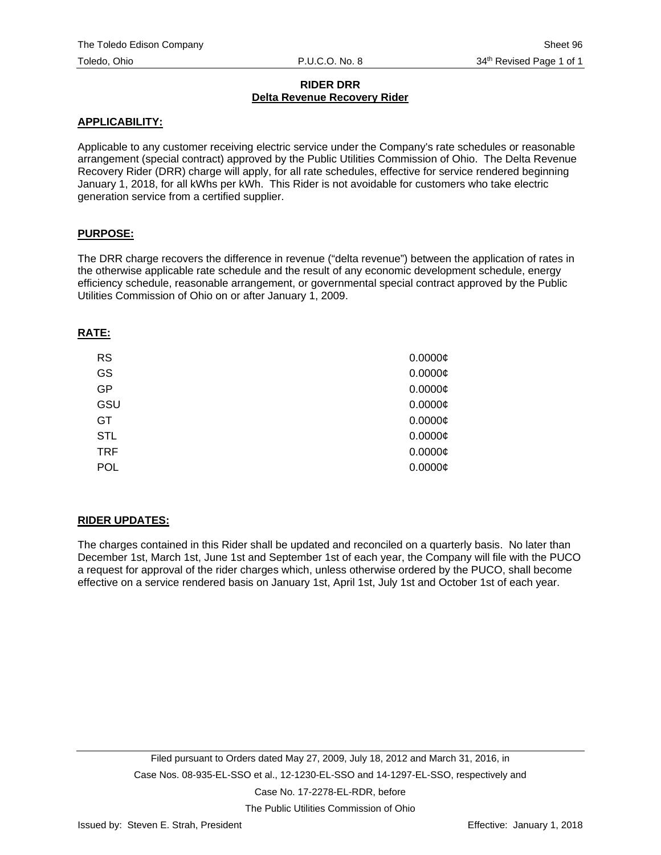#### **RIDER DRR Delta Revenue Recovery Rider**

#### **APPLICABILITY:**

Applicable to any customer receiving electric service under the Company's rate schedules or reasonable arrangement (special contract) approved by the Public Utilities Commission of Ohio. The Delta Revenue Recovery Rider (DRR) charge will apply, for all rate schedules, effective for service rendered beginning January 1, 2018, for all kWhs per kWh. This Rider is not avoidable for customers who take electric generation service from a certified supplier.

## **PURPOSE:**

The DRR charge recovers the difference in revenue ("delta revenue") between the application of rates in the otherwise applicable rate schedule and the result of any economic development schedule, energy efficiency schedule, reasonable arrangement, or governmental special contract approved by the Public Utilities Commission of Ohio on or after January 1, 2009.

#### **RATE:**

| <b>RS</b>  | 0.0000C    |
|------------|------------|
| <b>GS</b>  | $0.0000$ ¢ |
| GP         | 0.0000C    |
| GSU        | $0.0000$ ¢ |
| GT         | $0.0000$ ¢ |
| <b>STL</b> | 0.0000C    |
| <b>TRF</b> | $0.0000$ ¢ |
| <b>POL</b> | 0.0000C    |

## **RIDER UPDATES:**

The charges contained in this Rider shall be updated and reconciled on a quarterly basis. No later than December 1st, March 1st, June 1st and September 1st of each year, the Company will file with the PUCO a request for approval of the rider charges which, unless otherwise ordered by the PUCO, shall become effective on a service rendered basis on January 1st, April 1st, July 1st and October 1st of each year.

The Public Utilities Commission of Ohio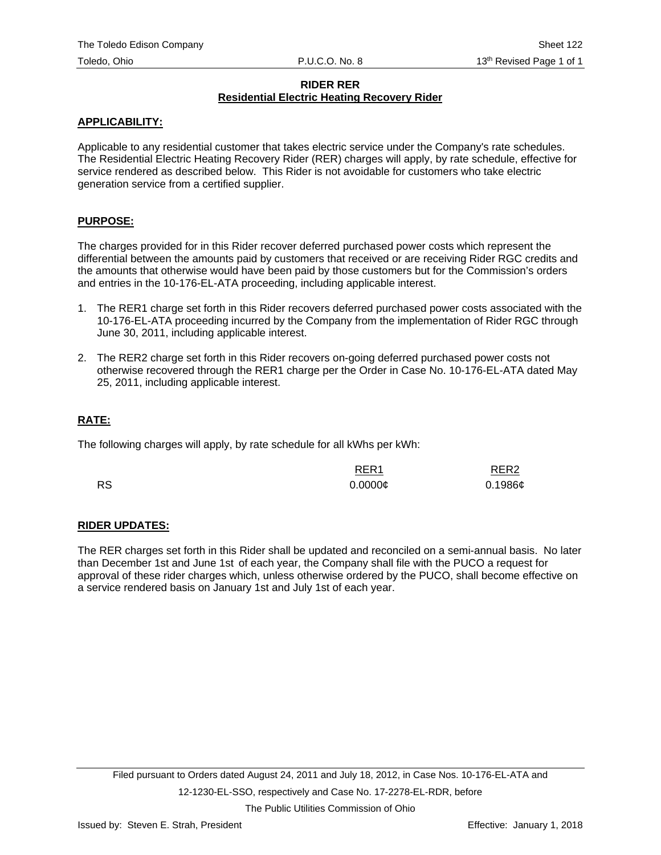## **RIDER RER Residential Electric Heating Recovery Rider**

## **APPLICABILITY:**

Applicable to any residential customer that takes electric service under the Company's rate schedules. The Residential Electric Heating Recovery Rider (RER) charges will apply, by rate schedule, effective for service rendered as described below. This Rider is not avoidable for customers who take electric generation service from a certified supplier.

## **PURPOSE:**

The charges provided for in this Rider recover deferred purchased power costs which represent the differential between the amounts paid by customers that received or are receiving Rider RGC credits and the amounts that otherwise would have been paid by those customers but for the Commission's orders and entries in the 10-176-EL-ATA proceeding, including applicable interest.

- 1. The RER1 charge set forth in this Rider recovers deferred purchased power costs associated with the 10-176-EL-ATA proceeding incurred by the Company from the implementation of Rider RGC through June 30, 2011, including applicable interest.
- 2. The RER2 charge set forth in this Rider recovers on-going deferred purchased power costs not otherwise recovered through the RER1 charge per the Order in Case No. 10-176-EL-ATA dated May 25, 2011, including applicable interest.

## **RATE:**

The following charges will apply, by rate schedule for all kWhs per kWh:

|           | RER <sub>1</sub> | RER <sub>2</sub> |
|-----------|------------------|------------------|
| <b>RS</b> | $0.0000$ ¢       | $0.1986$ ¢       |

## **RIDER UPDATES:**

The RER charges set forth in this Rider shall be updated and reconciled on a semi-annual basis. No later than December 1st and June 1st of each year, the Company shall file with the PUCO a request for approval of these rider charges which, unless otherwise ordered by the PUCO, shall become effective on a service rendered basis on January 1st and July 1st of each year.

The Public Utilities Commission of Ohio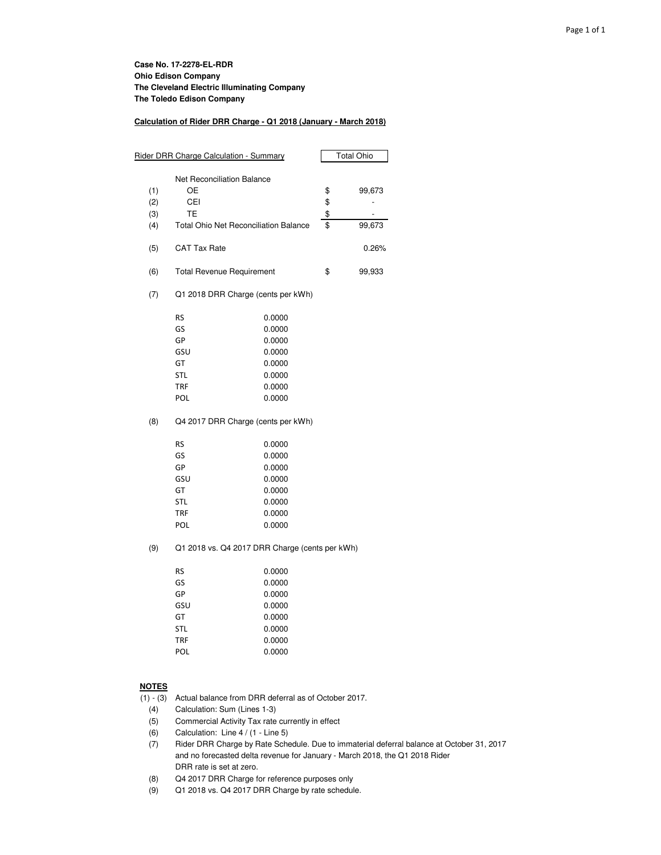#### **Calculation of Rider DRR Charge - Q1 2018 (January - March 2018)**

| Rider DRR Charge Calculation - Summary | <b>Total Ohio</b>                              |        |    |                          |
|----------------------------------------|------------------------------------------------|--------|----|--------------------------|
|                                        | Net Reconciliation Balance                     |        |    |                          |
| (1)                                    | OЕ                                             |        | \$ | 99,673                   |
| (2)                                    | CEI                                            |        | \$ |                          |
| (3)                                    | TE                                             |        | \$ | $\overline{\phantom{m}}$ |
| (4)                                    | <b>Total Ohio Net Reconciliation Balance</b>   |        | \$ | 99,673                   |
| (5)                                    | <b>CAT Tax Rate</b>                            |        |    | 0.26%                    |
| (6)                                    | <b>Total Revenue Requirement</b>               |        | \$ | 99,933                   |
| (7)                                    | Q1 2018 DRR Charge (cents per kWh)             |        |    |                          |
|                                        | <b>RS</b>                                      | 0.0000 |    |                          |
|                                        | GS                                             | 0.0000 |    |                          |
|                                        | GP                                             | 0.0000 |    |                          |
|                                        | GSU                                            | 0.0000 |    |                          |
|                                        | GT                                             | 0.0000 |    |                          |
|                                        | <b>STL</b>                                     | 0.0000 |    |                          |
|                                        | <b>TRF</b>                                     | 0.0000 |    |                          |
|                                        | <b>POL</b>                                     | 0.0000 |    |                          |
| (8)                                    | Q4 2017 DRR Charge (cents per kWh)             |        |    |                          |
|                                        | RS                                             | 0.0000 |    |                          |
|                                        | GS                                             | 0.0000 |    |                          |
|                                        | GP                                             | 0.0000 |    |                          |
|                                        | GSU                                            | 0.0000 |    |                          |
|                                        | GT                                             | 0.0000 |    |                          |
|                                        | <b>STL</b>                                     | 0.0000 |    |                          |
|                                        | <b>TRF</b>                                     | 0.0000 |    |                          |
|                                        | POL                                            | 0.0000 |    |                          |
| (9)                                    | Q1 2018 vs. Q4 2017 DRR Charge (cents per kWh) |        |    |                          |
|                                        | RS                                             | 0.0000 |    |                          |
|                                        | GS                                             | 0.0000 |    |                          |
|                                        | GP                                             | 0.0000 |    |                          |
|                                        | GSU                                            | 0.0000 |    |                          |
|                                        | GT                                             | 0.0000 |    |                          |
|                                        | <b>STL</b>                                     | 0.0000 |    |                          |
|                                        | TRF                                            | 0.0000 |    |                          |
|                                        | POL                                            | 0.0000 |    |                          |

#### **NOTES**

(1) - (3) Actual balance from DRR deferral as of October 2017.

- (4) Calculation: Sum (Lines 1-3)
- (5) Commercial Activity Tax rate currently in effect
- (6) Calculation: Line 4 / (1 Line 5)
- (7) Rider DRR Charge by Rate Schedule. Due to immaterial deferral balance at October 31, 2017 and no forecasted delta revenue for January - March 2018, the Q1 2018 Rider DRR rate is set at zero.
- (8) Q4 2017 DRR Charge for reference purposes only
- (9) Q1 2018 vs. Q4 2017 DRR Charge by rate schedule.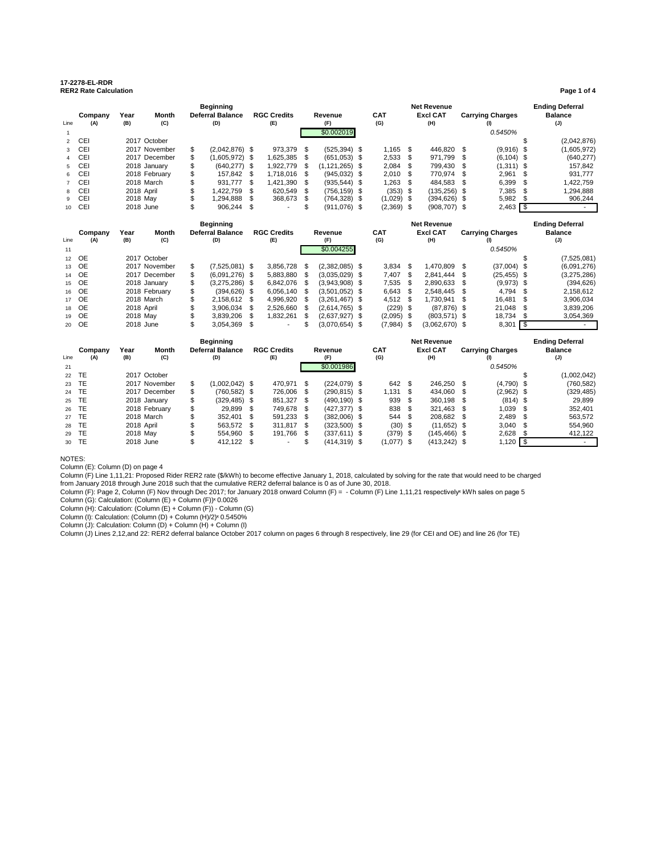#### **17-2278-EL-RDR RER2 Rate Calculation Page 1 of 4**

#### **Company Year Month Beginning Deferral Balance RGC Credits Revenue CAT Net Revenue Excl CAT Carrying Charges Ending Deferral Balance** Line **(A) (B) (C) (D) (E) (F) (G) (H) (I) (J)** 1 \$0.002019 *0.5450%* 2 CEI 2017 October \$ (2,042,876) 3 CEI 2017 November \$ (2,042,876) \$ 973,379 \$ (525,394) \$ 1,165 \$ 446,820 \$ (9,916) \$ (1,605,972) 4 CEI 2017 December \$ (1,605,972) \$ 1,625,385 \$ (651,053) \$ 2,533 \$ 971,799 \$ (6,104) \$ (640,277) 5 CEI 2018 January \$ (640,277) \$ 1,922,779 \$ (1,121,265) \$ 2,084 \$ 799,430 \$ (1,311) \$ 157,842 6 CEI 2018 February \$ 157,842 \$ 1,718,016 \$ (945,032) \$ 2,010 \$ 770,974 \$ 2,961 \$ 931,777 7 CEI 2018 March \$ 931,777 \$ 1,421,390 \$ (935,544) \$ 1,263 \$ 484,583 \$ 6,399 \$ 1,422,759 8 CEI 2018 April \$ 1,422,759 \$ 620,549 \$ (756,159) \$ (353) \$ (135,256) \$ 7,385 \$ 1,294,888 9 CEI 2018 May \$ 1,294,888 \$ 368,673 \$ (764,328) \$ (1,029) \$ (394,626) \$ 5,982 \$ 906,244 10 CEI 2018 June \$ 906,244 \$ - \$ (911,076) \$ (2,369) \$ (908,707) \$ 2,463 <mark>\$</mark> · **Company Year Month Beginning Deferral Balance RGC Credits Revenue CAT Net Revenue Excl CAT Carrying Charges Ending Deferral Balance** Line **(A) (B) (C) (D) (E) (F) (G) (H) (I) (J) 11 11 0.5450% 0.5450% 0.5450% 0.5450 <b>0.5450 0.5450** 12 OE 2017 October \$ (7,525,081) 13 OE 2017 November \$ (7,525,081) \$ 3,856,728 \$ (2,382,085) \$ 3,834 \$ 1,470,809 \$ (37,004) \$ (6,091,276) 14 OE 2017 December \$ (6,091,276) \$ 5,883,880 \$ (3,035,029) \$ 7,407 \$ 2,841,444 \$ (25,455) \$ (3,275,286) 15 OE 2018 January \$ (3,275,286) \$ 6,842,076 \$ (3,943,908) \$ 7,535 \$ 2,890,633 \$ (9,973) \$ (394,626) 16 OE 2018 February \$ (394,626) \$ 6,056,140 \$ (3,501,052) \$ 6,643 \$ 2,548,445 \$ 4,794 \$ 2,158,612 17 OE 2018 March \$ 2,158,612 \$ 4,996,920 \$ (3,261,467) \$ 4,512 \$ 1,730,941 \$ 16,481 \$ 3,906,034 18 OE 2018 April \$ 3,906,034 \$ 2,526,660 \$ (2,614,765) \$ (229) \$ (87,876) \$ 21,048 \$ 3,839,206

|      | <b>Beginning</b> |            |               |    |                         |      |                    | <b>Net Revenue</b> |                 |  |              |  |                 | <b>Ending Deferral</b> |                         |                |
|------|------------------|------------|---------------|----|-------------------------|------|--------------------|--------------------|-----------------|--|--------------|--|-----------------|------------------------|-------------------------|----------------|
|      | Company          | Year       | Month         |    | <b>Deferral Balance</b> |      | <b>RGC Credits</b> |                    | Revenue         |  | <b>CAT</b>   |  | <b>Excl CAT</b> |                        | <b>Carrying Charges</b> | <b>Balance</b> |
| Line | (A)              | (B)        | (C)           |    | (D)                     |      | (E)                |                    | (F)             |  | (G)          |  | (H)             |                        | (1)                     | (J)            |
| 21   |                  |            |               |    |                         |      |                    |                    | \$0.001986      |  |              |  |                 |                        | 0.5450%                 |                |
|      | 22 TE            |            | 2017 October  |    |                         |      |                    |                    |                 |  |              |  |                 |                        |                         | (1,002,042)    |
|      | 23 TE            |            | 2017 November | \$ | $(1,002,042)$ \$        |      | 470.971 \$         |                    | $(224, 079)$ \$ |  | 642          |  | 246.250         | -S                     | $(4,790)$ \$            | (760, 582)     |
|      | 24 TE            |            | 2017 December | \$ | (760.582) \$            |      | 726,006            |                    | $(290, 815)$ \$ |  | 1,131        |  | 434.060         | S                      | $(2,962)$ \$            | (329, 485)     |
|      | 25 TE            |            | 2018 January  |    | $(329, 485)$ \$         |      | 851.327 \$         |                    | $(490, 190)$ \$ |  | 939          |  | 360.198         | \$                     | $(814)$ \$              | 29.899         |
|      | 26 TE            |            | 2018 February | \$ | 29.899                  | - \$ | 749.678            | - \$               | $(427, 377)$ \$ |  | 838          |  | 321.463         | - \$                   | 1,039 \$                | 352,401        |
|      | 27 TE            | 2018 March |               |    | 352.401                 | - \$ | 591.233            | - \$               | $(382.006)$ \$  |  | 544          |  | 208.682 \$      |                        | $2.489$ \$              | 563.572        |
|      | 28 TE            | 2018 April |               |    | 563.572 \$              |      | 311.817 \$         |                    | $(323,500)$ \$  |  | $(30)$ \$    |  | $(11,652)$ \$   |                        | $3,040$ \$              | 554,960        |
|      | 29 TE            | 2018 May   |               |    | 554.960                 | - \$ | 191,766            | \$                 | $(337,611)$ \$  |  | $(379)$ \$   |  | $(145, 466)$ \$ |                        | 2,628                   | 412,122        |
|      | 30 TE            | 2018 June  |               |    | 412.122 \$              |      |                    |                    | $(414, 319)$ \$ |  | $(1,077)$ \$ |  | $(413, 242)$ \$ |                        | 1,120                   |                |

19 OE 2018 May \$ 3,839,206 \$ 1,832,261 \$ (2,637,927) \$ (2,095) \$ (803,571) \$ 18,734 \$ 3,054,369 20 OE 2018 June \$ 3,054,369 \$ - \$ (3,070,654) \$ (7,984) \$ (3,062,670) \$ 8,301 \$ -

NOTES:

Column (E): Column (D) on page 4

Column (F) Line 1,11,21: Proposed Rider RER2 rate (\$/kWh) to become effective January 1, 2018, calculated by solving for the rate that would need to be charged from January 2018 through June 2018 such that the cumulative RER2 deferral balance is 0 as of June 30, 2018.

Column (F): Page 2, Column (F) Nov through Dec 2017; for January 2018 onward Column (F) = - Column (F) Line 1,11,21 respectively« kWh sales on page 5

Column (G): Calculation: (Column (E) + Column (F))<sup>x</sup> 0.0026

Column (H): Calculation: (Column (E) + Column (F)) - Column (G)<br>Column (I): Calculation: (Column (D) + Column (H)/2)× 0.5450%

Column (J): Calculation: Column (D) + Column (H) + Column (I)

Column (J) Lines 2,12,and 22: RER2 deferral balance October 2017 column on pages 6 through 8 respectively, line 29 (for CEI and OE) and line 26 (for TE)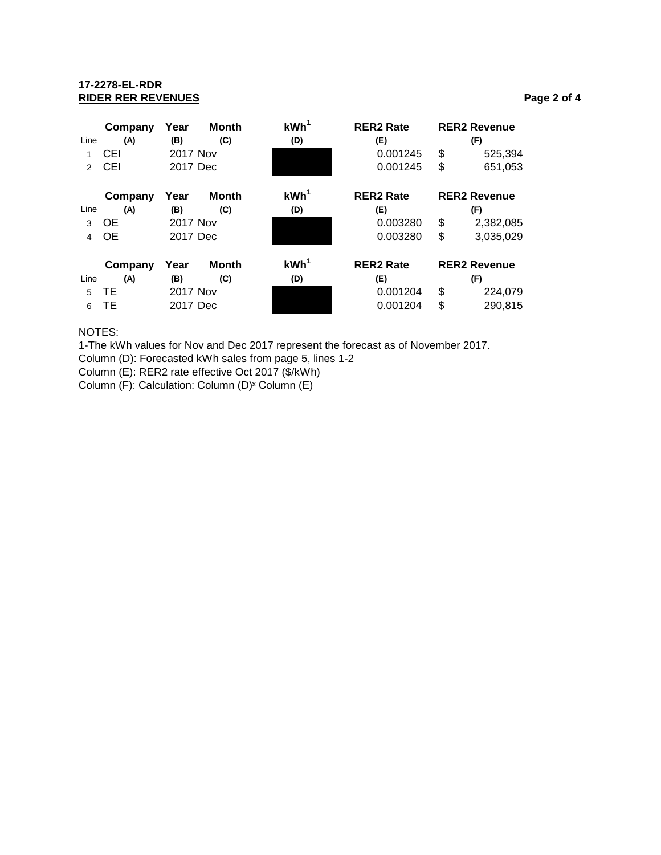## **17-2278-EL-RDR RIDER RER REVENUES Page 2 of 4**

|               | Company   | Year     | <b>Month</b> | KWh <sup>1</sup> | <b>RER2 Rate</b> | <b>RER2 Revenue</b> |
|---------------|-----------|----------|--------------|------------------|------------------|---------------------|
| Line          | (A)       | (B)      | (C)          | (D)              | (E)              | (F)                 |
| 1             | CEI       | 2017 Nov |              |                  | 0.001245         | \$<br>525,394       |
| $\mathcal{P}$ | CEI       | 2017 Dec |              |                  | 0.001245         | \$<br>651,053       |
|               | Company   | Year     | <b>Month</b> | KWh <sup>1</sup> | <b>RER2 Rate</b> | <b>RER2 Revenue</b> |
| Line          | (A)       | (B)      | (C)          | (D)              | (E)              | (F)                 |
| 3             | <b>OE</b> | 2017 Nov |              |                  | 0.003280         | \$<br>2,382,085     |
| 4             | <b>OE</b> | 2017 Dec |              |                  | 0.003280         | \$<br>3,035,029     |
|               | Company   | Year     | Month        | KWh <sup>1</sup> | <b>RER2 Rate</b> | <b>RER2 Revenue</b> |
| Line          | (A)       | (B)      | (C)          | (D)              | (E)              | (F)                 |
| 5             | TЕ        | 2017 Nov |              |                  | 0.001204         | \$<br>224,079       |
| 6             | TE        | 2017 Dec |              |                  | 0.001204         | \$<br>290,815       |

NOTES:

1-The kWh values for Nov and Dec 2017 represent the forecast as of November 2017.

Column (D): Forecasted kWh sales from page 5, lines 1-2

Column (E): RER2 rate effective Oct 2017 (\$/kWh)

Column (F): Calculation: Column (D)<sup>x</sup> Column (E)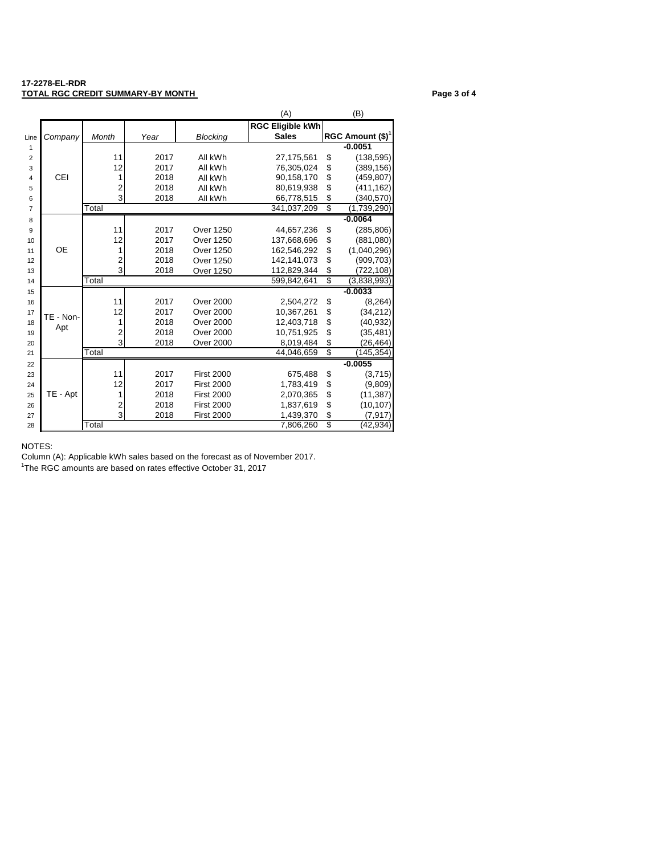#### **17-2278-EL-RDR TOTAL RGC CREDIT SUMMARY-BY MONTH Page 3 of 4**

|                |           |                         |      |                   | (A)                     | (B)                 |
|----------------|-----------|-------------------------|------|-------------------|-------------------------|---------------------|
|                |           |                         |      |                   | <b>RGC Eligible kWh</b> |                     |
| Line           | Company   | Month                   | Year | <b>Blocking</b>   | <b>Sales</b>            | RGC Amount $(\$)^1$ |
| 1              |           |                         |      |                   |                         | $-0.0051$           |
| $\overline{2}$ |           | 11                      | 2017 | All kWh           | 27,175,561              | \$<br>(138, 595)    |
| 3              |           | 12                      | 2017 | All kWh           | 76,305,024              | \$<br>(389, 156)    |
| 4              | CEI       | 1                       | 2018 | All kWh           | 90,158,170              | \$<br>(459, 807)    |
| 5              |           | 2                       | 2018 | All kWh           | 80,619,938              | \$<br>(411, 162)    |
| 6              |           | 3                       | 2018 | All kWh           | 66,778,515              | \$<br>(340,570)     |
| $\overline{7}$ |           | Total                   |      |                   | 341,037,209             | \$<br>(1,739,290)   |
| 8              |           |                         |      |                   |                         | $-0.0064$           |
| 9              |           | 11                      | 2017 | <b>Over 1250</b>  | 44,657,236              | \$<br>(285, 806)    |
| 10             |           | 12                      | 2017 | <b>Over 1250</b>  | 137,668,696             | \$<br>(881,080)     |
| 11             | OE        | 1                       | 2018 | <b>Over 1250</b>  | 162,546,292             | \$<br>(1,040,296)   |
| 12             |           | $\overline{\mathbf{c}}$ | 2018 | Over 1250         | 142,141,073             | \$<br>(909, 703)    |
| 13             |           | 3                       | 2018 | <b>Over 1250</b>  | 112,829,344             | \$<br>(722, 108)    |
| 14             |           | Total                   |      |                   | 599,842,641             | \$<br>(3,838,993)   |
| 15             |           |                         |      |                   |                         | $-0.0033$           |
| 16             |           | 11                      | 2017 | <b>Over 2000</b>  | 2,504,272               | \$<br>(8, 264)      |
| 17             | TE - Non- | 12                      | 2017 | <b>Over 2000</b>  | 10,367,261              | \$<br>(34, 212)     |
| 18             | Apt       | 1                       | 2018 | <b>Over 2000</b>  | 12.403.718              | \$<br>(40, 932)     |
| 19             |           | $\overline{c}$          | 2018 | <b>Over 2000</b>  | 10,751,925              | (35, 481)           |
| 20             |           | 3                       | 2018 | <b>Over 2000</b>  | 8,019,484               | \$<br>(26, 464)     |
| 21             |           | Total                   |      |                   | 44,046,659              | \$<br>(145, 354)    |
| 22             |           |                         |      |                   |                         | $-0.0055$           |
| 23             |           | 11                      | 2017 | <b>First 2000</b> | 675,488                 | \$<br>(3,715)       |
| 24             |           | 12                      | 2017 | <b>First 2000</b> | 1,783,419               | \$<br>(9,809)       |
| 25             | TE - Apt  | 1                       | 2018 | <b>First 2000</b> | 2,070,365               | \$<br>(11, 387)     |
| 26             |           | $\overline{\mathbf{c}}$ | 2018 | <b>First 2000</b> | 1,837,619               | \$<br>(10, 107)     |
| 27             |           | 3                       | 2018 | <b>First 2000</b> | 1,439,370               | \$<br>(7, 917)      |
| 28             |           | Total                   |      |                   | 7,806,260               | \$<br>(42,934)      |

NOTES:

Column (A): Applicable kWh sales based on the forecast as of November 2017.

<sup>1</sup>The RGC amounts are based on rates effective October 31, 2017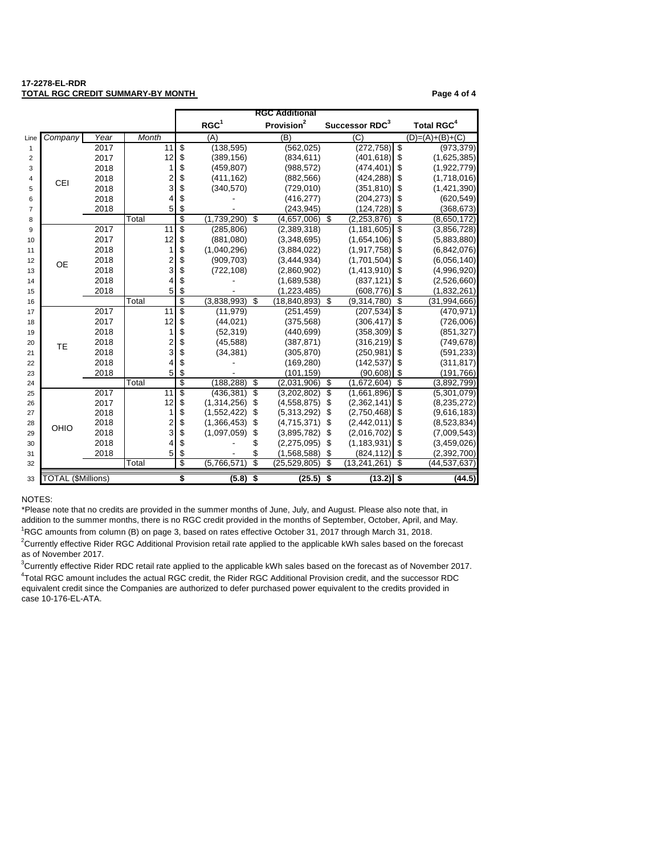#### **17-2278-EL-RDR TOTAL RGC CREDIT SUMMARY-BY MONTH PAGE AND RESIDENT SUMMARY-BY MONTH PAGE 4 of 4**

| RGC <sup>1</sup><br>Provision <sup>2</sup><br>Successor RDC <sup>3</sup><br><b>Total RGC<sup>4</sup></b><br>Company<br>Month<br>(B)<br>$\overline{C}$<br>$(D)=(A)+(B)+(C)$<br>Year<br>(A)<br>Line<br>11<br>\$<br>(138, 595)<br>\$<br>2017<br>(562, 025)<br>(272, 758)<br>$\mathbf{1}$<br>2017<br>12<br>\$<br>\$<br>(389, 156)<br>(834, 611)<br>(401, 618)<br>$\overline{2}$<br>\$<br>\$<br>1<br>2018<br>(459, 807)<br>(988, 572)<br>(474, 401)<br>3<br>\$<br>$\frac{2}{3}$<br>\$<br>2018<br>(411, 162)<br>(882, 566)<br>(424, 288)<br>4<br>CEI<br>\$<br>2018<br>\$<br>(340, 570)<br>(729, 010)<br>(351, 810)<br>5<br>\$<br>4<br>\$<br>2018<br>(416, 277)<br>(204, 273)<br>6<br>\$<br>5<br>\$<br>2018<br>(243,945)<br>(124, 728)<br>$\overline{7}$<br>\$<br>\$<br>(1,739,290)<br>\$<br>\$<br>Total<br>(4,657,006)<br>(2, 253, 876)<br>8<br>\$<br>\$<br>2017<br>11<br>(285, 806)<br>(2,389,318)<br>(1, 181, 605)<br>9<br>12<br>\$<br>\$<br>2017<br>(881,080)<br>(3,348,695)<br>(1,654,106)<br>10<br>\$<br>\$<br>2018<br>1<br>(1,040,296)<br>(3,884,022)<br>(1, 917, 758)<br>11<br>$\frac{2}{3}$<br>\$<br>\$<br>2018<br>(909, 703)<br>(3,444,934)<br>(1,701,504)<br>12<br><b>OE</b><br>\$<br>\$<br>2018<br>(1,413,910)<br>(722, 108)<br>(2,860,902)<br>13<br>\$<br>4<br>\$<br>(1,689,538)<br>(837, 121)<br>2018<br>14<br>\$<br>5<br>\$<br>2018<br>(1, 223, 485)<br>(608, 776)<br>15<br>\$<br>\$<br>\$<br>(3,838,993)<br>\$<br>Total<br>(18, 840, 893)<br>(9,314,780)<br>16<br>\$<br>\$<br>11<br>2017<br>(11, 979)<br>(251, 459)<br>(207, 534)<br>17<br>\$<br>12<br>\$<br>(44, 021)<br>(306, 417)<br>2017<br>(375, 568)<br>18<br>\$<br>\$<br>2018<br>1<br>(52, 319)<br>(440, 699)<br>(358, 309)<br>19<br>\$<br>$\frac{2}{3}$<br>\$<br>2018<br>(45, 588)<br>(387, 871)<br>(316, 219)<br>20<br>TE<br>\$<br>\$<br>2018<br>(34, 381)<br>(305, 870)<br>(250, 981)<br>21<br>\$<br>4<br>\$<br>2018<br>(169, 280)<br>(142, 537)<br>22<br>\$<br>5<br>\$<br>2018<br>(90, 608)<br>(101,159)<br>23<br>\$<br>\$<br>(188, 288)<br>\$<br>Total<br>(2,031,906)<br>\$<br>(1,672,604)<br>(3,892,799)<br>24<br>s<br>$\overline{\mathbb{S}}$<br>\$<br>\$<br>2017<br>11<br>(436, 381)<br>(3,202,802)<br>(1,661,896)<br>25<br>12<br>\$<br>(1,314,256)<br>\$<br>(2,362,141)<br>\$<br>2017<br>\$<br>(4,558,875)<br>26<br>\$<br>\$<br>1<br>\$<br>2018<br>(1,552,422)<br>\$<br>(5,313,292)<br>(2,750,468)<br>27<br>\$<br>$\overline{\mathbf{c}}$<br>\$<br>(1,366,453)<br>(4,715,371)<br>\$<br>(2,442,011)<br>2018<br>\$<br>28<br>OHIO<br>3<br>\$<br>\$<br>2018<br>(1,097,059)<br>(2,016,702)<br>\$<br>(3,895,782)<br>\$<br>29<br>\$<br>\$<br>2018<br>4<br>(2, 275, 095)<br>\$<br>(1, 183, 931)<br>\$<br>30<br>5<br>\$<br>\$<br>\$<br>(1,568,588)<br>\$<br>(824, 112)<br>2018<br>31<br>\$<br>S<br>\$<br>(5,766,571)<br>\$<br>Total<br>(25, 529, 805)<br>(13, 241, 261)<br>(44, 537, 637)<br>32<br><b>TOTAL (SMillions)</b><br>\$<br>S<br>(5.8)<br>(25.5)<br>\$<br>(13.2)<br>$\overline{\mathbf{s}}$<br>33 |  |  |  | <b>RGC Additional</b> |  |               |
|----------------------------------------------------------------------------------------------------------------------------------------------------------------------------------------------------------------------------------------------------------------------------------------------------------------------------------------------------------------------------------------------------------------------------------------------------------------------------------------------------------------------------------------------------------------------------------------------------------------------------------------------------------------------------------------------------------------------------------------------------------------------------------------------------------------------------------------------------------------------------------------------------------------------------------------------------------------------------------------------------------------------------------------------------------------------------------------------------------------------------------------------------------------------------------------------------------------------------------------------------------------------------------------------------------------------------------------------------------------------------------------------------------------------------------------------------------------------------------------------------------------------------------------------------------------------------------------------------------------------------------------------------------------------------------------------------------------------------------------------------------------------------------------------------------------------------------------------------------------------------------------------------------------------------------------------------------------------------------------------------------------------------------------------------------------------------------------------------------------------------------------------------------------------------------------------------------------------------------------------------------------------------------------------------------------------------------------------------------------------------------------------------------------------------------------------------------------------------------------------------------------------------------------------------------------------------------------------------------------------------------------------------------------------------------------------------------------------------------------------------------------------------------------------------------------------------------------------------------------------------------------------------------------------------------------------------------------------------|--|--|--|-----------------------|--|---------------|
|                                                                                                                                                                                                                                                                                                                                                                                                                                                                                                                                                                                                                                                                                                                                                                                                                                                                                                                                                                                                                                                                                                                                                                                                                                                                                                                                                                                                                                                                                                                                                                                                                                                                                                                                                                                                                                                                                                                                                                                                                                                                                                                                                                                                                                                                                                                                                                                                                                                                                                                                                                                                                                                                                                                                                                                                                                                                                                                                                                            |  |  |  |                       |  |               |
|                                                                                                                                                                                                                                                                                                                                                                                                                                                                                                                                                                                                                                                                                                                                                                                                                                                                                                                                                                                                                                                                                                                                                                                                                                                                                                                                                                                                                                                                                                                                                                                                                                                                                                                                                                                                                                                                                                                                                                                                                                                                                                                                                                                                                                                                                                                                                                                                                                                                                                                                                                                                                                                                                                                                                                                                                                                                                                                                                                            |  |  |  |                       |  |               |
|                                                                                                                                                                                                                                                                                                                                                                                                                                                                                                                                                                                                                                                                                                                                                                                                                                                                                                                                                                                                                                                                                                                                                                                                                                                                                                                                                                                                                                                                                                                                                                                                                                                                                                                                                                                                                                                                                                                                                                                                                                                                                                                                                                                                                                                                                                                                                                                                                                                                                                                                                                                                                                                                                                                                                                                                                                                                                                                                                                            |  |  |  |                       |  | (973, 379)    |
|                                                                                                                                                                                                                                                                                                                                                                                                                                                                                                                                                                                                                                                                                                                                                                                                                                                                                                                                                                                                                                                                                                                                                                                                                                                                                                                                                                                                                                                                                                                                                                                                                                                                                                                                                                                                                                                                                                                                                                                                                                                                                                                                                                                                                                                                                                                                                                                                                                                                                                                                                                                                                                                                                                                                                                                                                                                                                                                                                                            |  |  |  |                       |  | (1,625,385)   |
|                                                                                                                                                                                                                                                                                                                                                                                                                                                                                                                                                                                                                                                                                                                                                                                                                                                                                                                                                                                                                                                                                                                                                                                                                                                                                                                                                                                                                                                                                                                                                                                                                                                                                                                                                                                                                                                                                                                                                                                                                                                                                                                                                                                                                                                                                                                                                                                                                                                                                                                                                                                                                                                                                                                                                                                                                                                                                                                                                                            |  |  |  |                       |  | (1,922,779)   |
|                                                                                                                                                                                                                                                                                                                                                                                                                                                                                                                                                                                                                                                                                                                                                                                                                                                                                                                                                                                                                                                                                                                                                                                                                                                                                                                                                                                                                                                                                                                                                                                                                                                                                                                                                                                                                                                                                                                                                                                                                                                                                                                                                                                                                                                                                                                                                                                                                                                                                                                                                                                                                                                                                                                                                                                                                                                                                                                                                                            |  |  |  |                       |  | (1,718,016)   |
|                                                                                                                                                                                                                                                                                                                                                                                                                                                                                                                                                                                                                                                                                                                                                                                                                                                                                                                                                                                                                                                                                                                                                                                                                                                                                                                                                                                                                                                                                                                                                                                                                                                                                                                                                                                                                                                                                                                                                                                                                                                                                                                                                                                                                                                                                                                                                                                                                                                                                                                                                                                                                                                                                                                                                                                                                                                                                                                                                                            |  |  |  |                       |  | (1,421,390)   |
|                                                                                                                                                                                                                                                                                                                                                                                                                                                                                                                                                                                                                                                                                                                                                                                                                                                                                                                                                                                                                                                                                                                                                                                                                                                                                                                                                                                                                                                                                                                                                                                                                                                                                                                                                                                                                                                                                                                                                                                                                                                                                                                                                                                                                                                                                                                                                                                                                                                                                                                                                                                                                                                                                                                                                                                                                                                                                                                                                                            |  |  |  |                       |  | (620, 549)    |
|                                                                                                                                                                                                                                                                                                                                                                                                                                                                                                                                                                                                                                                                                                                                                                                                                                                                                                                                                                                                                                                                                                                                                                                                                                                                                                                                                                                                                                                                                                                                                                                                                                                                                                                                                                                                                                                                                                                                                                                                                                                                                                                                                                                                                                                                                                                                                                                                                                                                                                                                                                                                                                                                                                                                                                                                                                                                                                                                                                            |  |  |  |                       |  | (368, 673)    |
|                                                                                                                                                                                                                                                                                                                                                                                                                                                                                                                                                                                                                                                                                                                                                                                                                                                                                                                                                                                                                                                                                                                                                                                                                                                                                                                                                                                                                                                                                                                                                                                                                                                                                                                                                                                                                                                                                                                                                                                                                                                                                                                                                                                                                                                                                                                                                                                                                                                                                                                                                                                                                                                                                                                                                                                                                                                                                                                                                                            |  |  |  |                       |  | (8,650,172)   |
|                                                                                                                                                                                                                                                                                                                                                                                                                                                                                                                                                                                                                                                                                                                                                                                                                                                                                                                                                                                                                                                                                                                                                                                                                                                                                                                                                                                                                                                                                                                                                                                                                                                                                                                                                                                                                                                                                                                                                                                                                                                                                                                                                                                                                                                                                                                                                                                                                                                                                                                                                                                                                                                                                                                                                                                                                                                                                                                                                                            |  |  |  |                       |  | (3,856,728)   |
|                                                                                                                                                                                                                                                                                                                                                                                                                                                                                                                                                                                                                                                                                                                                                                                                                                                                                                                                                                                                                                                                                                                                                                                                                                                                                                                                                                                                                                                                                                                                                                                                                                                                                                                                                                                                                                                                                                                                                                                                                                                                                                                                                                                                                                                                                                                                                                                                                                                                                                                                                                                                                                                                                                                                                                                                                                                                                                                                                                            |  |  |  |                       |  | (5,883,880)   |
|                                                                                                                                                                                                                                                                                                                                                                                                                                                                                                                                                                                                                                                                                                                                                                                                                                                                                                                                                                                                                                                                                                                                                                                                                                                                                                                                                                                                                                                                                                                                                                                                                                                                                                                                                                                                                                                                                                                                                                                                                                                                                                                                                                                                                                                                                                                                                                                                                                                                                                                                                                                                                                                                                                                                                                                                                                                                                                                                                                            |  |  |  |                       |  | (6,842,076)   |
|                                                                                                                                                                                                                                                                                                                                                                                                                                                                                                                                                                                                                                                                                                                                                                                                                                                                                                                                                                                                                                                                                                                                                                                                                                                                                                                                                                                                                                                                                                                                                                                                                                                                                                                                                                                                                                                                                                                                                                                                                                                                                                                                                                                                                                                                                                                                                                                                                                                                                                                                                                                                                                                                                                                                                                                                                                                                                                                                                                            |  |  |  |                       |  | (6,056,140)   |
|                                                                                                                                                                                                                                                                                                                                                                                                                                                                                                                                                                                                                                                                                                                                                                                                                                                                                                                                                                                                                                                                                                                                                                                                                                                                                                                                                                                                                                                                                                                                                                                                                                                                                                                                                                                                                                                                                                                                                                                                                                                                                                                                                                                                                                                                                                                                                                                                                                                                                                                                                                                                                                                                                                                                                                                                                                                                                                                                                                            |  |  |  |                       |  | (4,996,920)   |
|                                                                                                                                                                                                                                                                                                                                                                                                                                                                                                                                                                                                                                                                                                                                                                                                                                                                                                                                                                                                                                                                                                                                                                                                                                                                                                                                                                                                                                                                                                                                                                                                                                                                                                                                                                                                                                                                                                                                                                                                                                                                                                                                                                                                                                                                                                                                                                                                                                                                                                                                                                                                                                                                                                                                                                                                                                                                                                                                                                            |  |  |  |                       |  | (2,526,660)   |
|                                                                                                                                                                                                                                                                                                                                                                                                                                                                                                                                                                                                                                                                                                                                                                                                                                                                                                                                                                                                                                                                                                                                                                                                                                                                                                                                                                                                                                                                                                                                                                                                                                                                                                                                                                                                                                                                                                                                                                                                                                                                                                                                                                                                                                                                                                                                                                                                                                                                                                                                                                                                                                                                                                                                                                                                                                                                                                                                                                            |  |  |  |                       |  | (1,832,261)   |
|                                                                                                                                                                                                                                                                                                                                                                                                                                                                                                                                                                                                                                                                                                                                                                                                                                                                                                                                                                                                                                                                                                                                                                                                                                                                                                                                                                                                                                                                                                                                                                                                                                                                                                                                                                                                                                                                                                                                                                                                                                                                                                                                                                                                                                                                                                                                                                                                                                                                                                                                                                                                                                                                                                                                                                                                                                                                                                                                                                            |  |  |  |                       |  | (31,994,666)  |
|                                                                                                                                                                                                                                                                                                                                                                                                                                                                                                                                                                                                                                                                                                                                                                                                                                                                                                                                                                                                                                                                                                                                                                                                                                                                                                                                                                                                                                                                                                                                                                                                                                                                                                                                                                                                                                                                                                                                                                                                                                                                                                                                                                                                                                                                                                                                                                                                                                                                                                                                                                                                                                                                                                                                                                                                                                                                                                                                                                            |  |  |  |                       |  | (470, 971)    |
|                                                                                                                                                                                                                                                                                                                                                                                                                                                                                                                                                                                                                                                                                                                                                                                                                                                                                                                                                                                                                                                                                                                                                                                                                                                                                                                                                                                                                                                                                                                                                                                                                                                                                                                                                                                                                                                                                                                                                                                                                                                                                                                                                                                                                                                                                                                                                                                                                                                                                                                                                                                                                                                                                                                                                                                                                                                                                                                                                                            |  |  |  |                       |  | (726,006)     |
|                                                                                                                                                                                                                                                                                                                                                                                                                                                                                                                                                                                                                                                                                                                                                                                                                                                                                                                                                                                                                                                                                                                                                                                                                                                                                                                                                                                                                                                                                                                                                                                                                                                                                                                                                                                                                                                                                                                                                                                                                                                                                                                                                                                                                                                                                                                                                                                                                                                                                                                                                                                                                                                                                                                                                                                                                                                                                                                                                                            |  |  |  |                       |  | (851, 327)    |
|                                                                                                                                                                                                                                                                                                                                                                                                                                                                                                                                                                                                                                                                                                                                                                                                                                                                                                                                                                                                                                                                                                                                                                                                                                                                                                                                                                                                                                                                                                                                                                                                                                                                                                                                                                                                                                                                                                                                                                                                                                                                                                                                                                                                                                                                                                                                                                                                                                                                                                                                                                                                                                                                                                                                                                                                                                                                                                                                                                            |  |  |  |                       |  | (749, 678)    |
|                                                                                                                                                                                                                                                                                                                                                                                                                                                                                                                                                                                                                                                                                                                                                                                                                                                                                                                                                                                                                                                                                                                                                                                                                                                                                                                                                                                                                                                                                                                                                                                                                                                                                                                                                                                                                                                                                                                                                                                                                                                                                                                                                                                                                                                                                                                                                                                                                                                                                                                                                                                                                                                                                                                                                                                                                                                                                                                                                                            |  |  |  |                       |  | (591, 233)    |
|                                                                                                                                                                                                                                                                                                                                                                                                                                                                                                                                                                                                                                                                                                                                                                                                                                                                                                                                                                                                                                                                                                                                                                                                                                                                                                                                                                                                                                                                                                                                                                                                                                                                                                                                                                                                                                                                                                                                                                                                                                                                                                                                                                                                                                                                                                                                                                                                                                                                                                                                                                                                                                                                                                                                                                                                                                                                                                                                                                            |  |  |  |                       |  | (311, 817)    |
|                                                                                                                                                                                                                                                                                                                                                                                                                                                                                                                                                                                                                                                                                                                                                                                                                                                                                                                                                                                                                                                                                                                                                                                                                                                                                                                                                                                                                                                                                                                                                                                                                                                                                                                                                                                                                                                                                                                                                                                                                                                                                                                                                                                                                                                                                                                                                                                                                                                                                                                                                                                                                                                                                                                                                                                                                                                                                                                                                                            |  |  |  |                       |  | (191, 766)    |
|                                                                                                                                                                                                                                                                                                                                                                                                                                                                                                                                                                                                                                                                                                                                                                                                                                                                                                                                                                                                                                                                                                                                                                                                                                                                                                                                                                                                                                                                                                                                                                                                                                                                                                                                                                                                                                                                                                                                                                                                                                                                                                                                                                                                                                                                                                                                                                                                                                                                                                                                                                                                                                                                                                                                                                                                                                                                                                                                                                            |  |  |  |                       |  |               |
|                                                                                                                                                                                                                                                                                                                                                                                                                                                                                                                                                                                                                                                                                                                                                                                                                                                                                                                                                                                                                                                                                                                                                                                                                                                                                                                                                                                                                                                                                                                                                                                                                                                                                                                                                                                                                                                                                                                                                                                                                                                                                                                                                                                                                                                                                                                                                                                                                                                                                                                                                                                                                                                                                                                                                                                                                                                                                                                                                                            |  |  |  |                       |  | (5,301,079)   |
|                                                                                                                                                                                                                                                                                                                                                                                                                                                                                                                                                                                                                                                                                                                                                                                                                                                                                                                                                                                                                                                                                                                                                                                                                                                                                                                                                                                                                                                                                                                                                                                                                                                                                                                                                                                                                                                                                                                                                                                                                                                                                                                                                                                                                                                                                                                                                                                                                                                                                                                                                                                                                                                                                                                                                                                                                                                                                                                                                                            |  |  |  |                       |  | (8, 235, 272) |
|                                                                                                                                                                                                                                                                                                                                                                                                                                                                                                                                                                                                                                                                                                                                                                                                                                                                                                                                                                                                                                                                                                                                                                                                                                                                                                                                                                                                                                                                                                                                                                                                                                                                                                                                                                                                                                                                                                                                                                                                                                                                                                                                                                                                                                                                                                                                                                                                                                                                                                                                                                                                                                                                                                                                                                                                                                                                                                                                                                            |  |  |  |                       |  | (9,616,183)   |
|                                                                                                                                                                                                                                                                                                                                                                                                                                                                                                                                                                                                                                                                                                                                                                                                                                                                                                                                                                                                                                                                                                                                                                                                                                                                                                                                                                                                                                                                                                                                                                                                                                                                                                                                                                                                                                                                                                                                                                                                                                                                                                                                                                                                                                                                                                                                                                                                                                                                                                                                                                                                                                                                                                                                                                                                                                                                                                                                                                            |  |  |  |                       |  | (8,523,834)   |
|                                                                                                                                                                                                                                                                                                                                                                                                                                                                                                                                                                                                                                                                                                                                                                                                                                                                                                                                                                                                                                                                                                                                                                                                                                                                                                                                                                                                                                                                                                                                                                                                                                                                                                                                                                                                                                                                                                                                                                                                                                                                                                                                                                                                                                                                                                                                                                                                                                                                                                                                                                                                                                                                                                                                                                                                                                                                                                                                                                            |  |  |  |                       |  | (7,009,543)   |
|                                                                                                                                                                                                                                                                                                                                                                                                                                                                                                                                                                                                                                                                                                                                                                                                                                                                                                                                                                                                                                                                                                                                                                                                                                                                                                                                                                                                                                                                                                                                                                                                                                                                                                                                                                                                                                                                                                                                                                                                                                                                                                                                                                                                                                                                                                                                                                                                                                                                                                                                                                                                                                                                                                                                                                                                                                                                                                                                                                            |  |  |  |                       |  | (3,459,026)   |
|                                                                                                                                                                                                                                                                                                                                                                                                                                                                                                                                                                                                                                                                                                                                                                                                                                                                                                                                                                                                                                                                                                                                                                                                                                                                                                                                                                                                                                                                                                                                                                                                                                                                                                                                                                                                                                                                                                                                                                                                                                                                                                                                                                                                                                                                                                                                                                                                                                                                                                                                                                                                                                                                                                                                                                                                                                                                                                                                                                            |  |  |  |                       |  | (2,392,700)   |
|                                                                                                                                                                                                                                                                                                                                                                                                                                                                                                                                                                                                                                                                                                                                                                                                                                                                                                                                                                                                                                                                                                                                                                                                                                                                                                                                                                                                                                                                                                                                                                                                                                                                                                                                                                                                                                                                                                                                                                                                                                                                                                                                                                                                                                                                                                                                                                                                                                                                                                                                                                                                                                                                                                                                                                                                                                                                                                                                                                            |  |  |  |                       |  |               |
|                                                                                                                                                                                                                                                                                                                                                                                                                                                                                                                                                                                                                                                                                                                                                                                                                                                                                                                                                                                                                                                                                                                                                                                                                                                                                                                                                                                                                                                                                                                                                                                                                                                                                                                                                                                                                                                                                                                                                                                                                                                                                                                                                                                                                                                                                                                                                                                                                                                                                                                                                                                                                                                                                                                                                                                                                                                                                                                                                                            |  |  |  |                       |  | (44.5)        |

#### NOTES:

<sup>2</sup>Currently effective Rider RGC Additional Provision retail rate applied to the applicable kWh sales based on the forecast as of November 2017. RGC amounts from column (B) on page 3, based on rates effective October 31, 2017 through March 31, 2018. \*Please note that no credits are provided in the summer months of June, July, and August. Please also note that, in addition to the summer months, there is no RGC credit provided in the months of September, October, April, and May.

<sup>3</sup>Currently effective Rider RDC retail rate applied to the applicable kWh sales based on the forecast as of November 2017. Total RGC amount includes the actual RGC credit, the Rider RGC Additional Provision credit, and the successor RDC equivalent credit since the Companies are authorized to defer purchased power equivalent to the credits provided in case 10-176-EL-ATA.